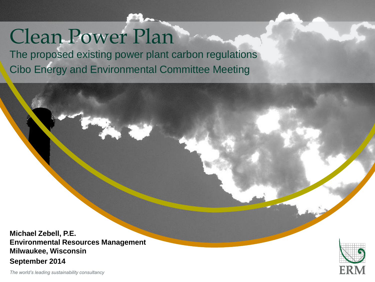# Clean Power Plan

The proposed existing power plant carbon regulations Cibo Energy and Environmental Committee Meeting

"Insert "Picture" ("Insert of Picture" ) and "Picture" ("Insert of Picture" ) and "Picture" ("Insert of Picture

Right click your picture and "Send to back".

**Michael Zebell, P.E. Environmental Resources Management Milwaukee, Wisconsin September 2014**



*The world's leading sustainability consultancy*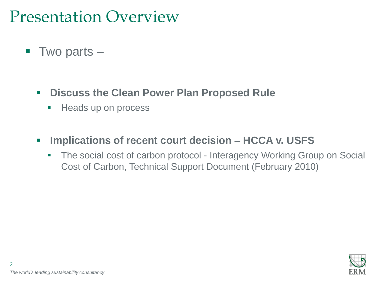#### Presentation Overview

- $\blacksquare$  Two parts
	- **Discuss the Clean Power Plan Proposed Rule**
		- **Heads up on process**
	- **Implications of recent court decision – HCCA v. USFS**
		- The social cost of carbon protocol Interagency Working Group on Social Cost of Carbon, Technical Support Document (February 2010)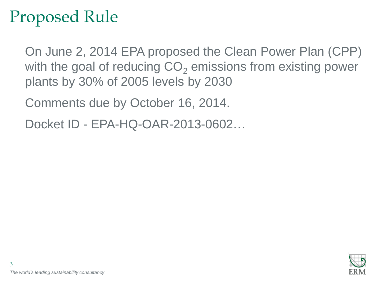#### Proposed Rule

On June 2, 2014 EPA proposed the Clean Power Plan (CPP) with the goal of reducing  $CO<sub>2</sub>$  emissions from existing power plants by 30% of 2005 levels by 2030

Comments due by October 16, 2014.

Docket ID - EPA-HQ-OAR-2013-0602…

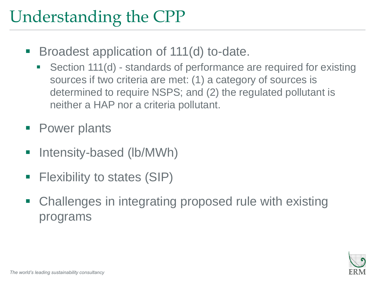#### Understanding the CPP

- **Broadest application of 111(d) to-date.** 
	- Section 111(d) standards of performance are required for existing sources if two criteria are met: (1) a category of sources is determined to require NSPS; and (2) the regulated pollutant is neither a HAP nor a criteria pollutant.
- Power plants
- **-** Intensity-based (lb/MWh)
- **Filexibility to states (SIP)**
- Challenges in integrating proposed rule with existing programs

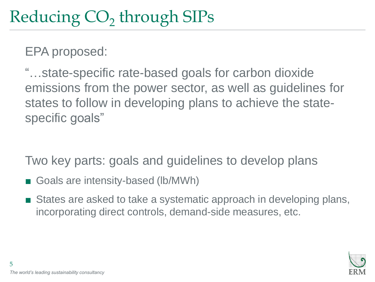## Reducing  $\mathrm{CO}_2$  through SIPs

EPA proposed:

"…state-specific rate-based goals for carbon dioxide emissions from the power sector, as well as guidelines for states to follow in developing plans to achieve the statespecific goals"

Two key parts: goals and guidelines to develop plans

- Goals are intensity-based (lb/MWh)
- States are asked to take a systematic approach in developing plans, incorporating direct controls, demand-side measures, etc.

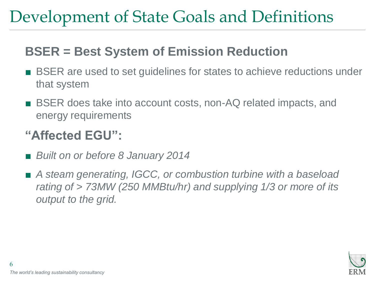### Development of State Goals and Definitions

#### **BSER = Best System of Emission Reduction**

- BSER are used to set guidelines for states to achieve reductions under that system
- BSER does take into account costs, non-AQ related impacts, and energy requirements

#### **"Affected EGU":**

- *Built on or before 8 January 2014*
- *A steam generating, IGCC, or combustion turbine with a baseload rating of > 73MW (250 MMBtu/hr) and supplying 1/3 or more of its output to the grid.*

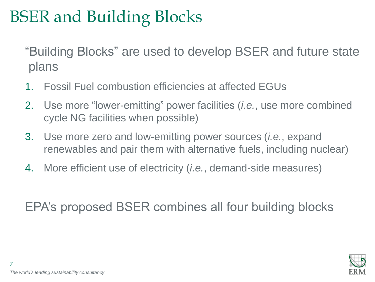### BSER and Building Blocks

"Building Blocks" are used to develop BSER and future state plans

- 1. Fossil Fuel combustion efficiencies at affected EGUs
- 2. Use more "lower-emitting" power facilities (*i.e.*, use more combined cycle NG facilities when possible)
- 3. Use more zero and low-emitting power sources (*i.e.*, expand renewables and pair them with alternative fuels, including nuclear)
- 4. More efficient use of electricity (*i.e.*, demand-side measures)

EPA's proposed BSER combines all four building blocks

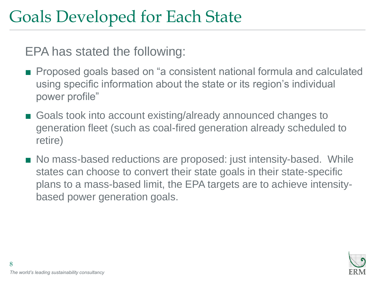#### Goals Developed for Each State

EPA has stated the following:

- Proposed goals based on "a consistent national formula and calculated using specific information about the state or its region's individual power profile"
- Goals took into account existing/already announced changes to generation fleet (such as coal-fired generation already scheduled to retire)
- No mass-based reductions are proposed: just intensity-based. While states can choose to convert their state goals in their state-specific plans to a mass-based limit, the EPA targets are to achieve intensitybased power generation goals.

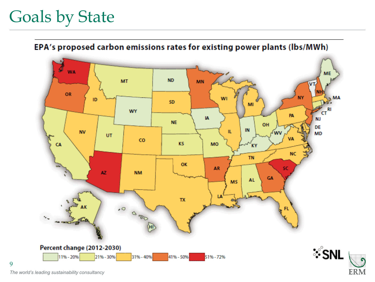### Goals by State

EPA's proposed carbon emissions rates for existing power plants (lbs/MWh)



**ERM** 

*The world's leading sustainability consultancy*

9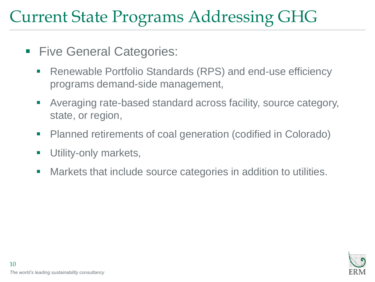#### Current State Programs Addressing GHG

- **Five General Categories:** 
	- Renewable Portfolio Standards (RPS) and end-use efficiency programs demand-side management,
	- Averaging rate-based standard across facility, source category, state, or region,
	- **Planned retirements of coal generation (codified in Colorado)**
	- **Utility-only markets,**
	- **Markets that include source categories in addition to utilities.**

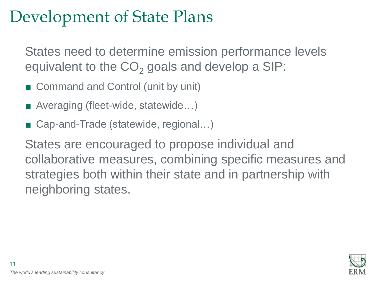#### Development of State Plans

States need to determine emission performance levels equivalent to the  $CO<sub>2</sub>$  goals and develop a SIP:

- Command and Control (unit by unit)
- Averaging (fleet-wide, statewide...)
- Cap-and-Trade (statewide, regional...)

States are encouraged to propose individual and collaborative measures, combining specific measures and strategies both within their state and in partnership with neighboring states.

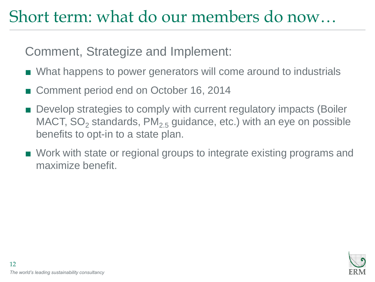#### Short term: what do our members do now…

Comment, Strategize and Implement:

- What happens to power generators will come around to industrials
- Comment period end on October 16, 2014
- Develop strategies to comply with current regulatory impacts (Boiler MACT,  $SO_2$  standards,  $PM_{2.5}$  guidance, etc.) with an eye on possible benefits to opt-in to a state plan.
- Work with state or regional groups to integrate existing programs and maximize benefit.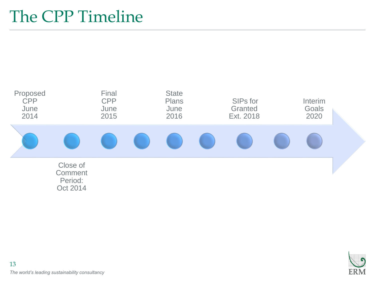#### The CPP Timeline



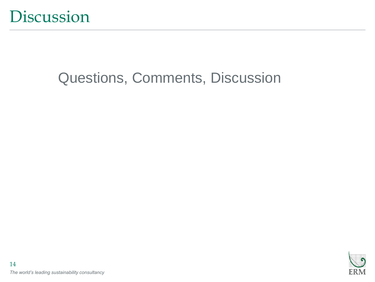

#### Questions, Comments, Discussion

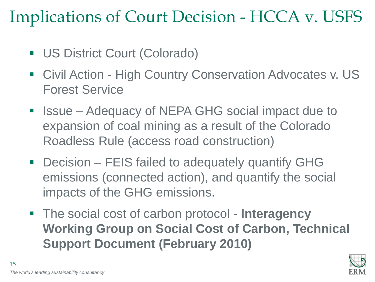### Implications of Court Decision - HCCA v. USFS

- **US District Court (Colorado)**
- Civil Action High Country Conservation Advocates v. US Forest Service
- Issue Adequacy of NEPA GHG social impact due to expansion of coal mining as a result of the Colorado Roadless Rule (access road construction)
- Decision FEIS failed to adequately quantify GHG emissions (connected action), and quantify the social impacts of the GHG emissions.
- The social cost of carbon protocol **Interagency Working Group on Social Cost of Carbon, Technical Support Document (February 2010)**

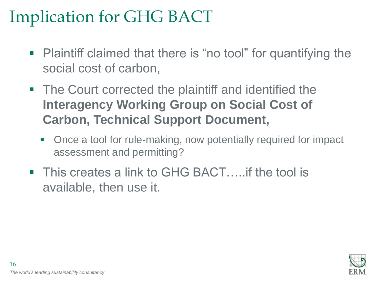### Implication for GHG BACT

- Plaintiff claimed that there is "no tool" for quantifying the social cost of carbon,
- **The Court corrected the plaintiff and identified the Interagency Working Group on Social Cost of Carbon, Technical Support Document,**
	- Once a tool for rule-making, now potentially required for impact assessment and permitting?
- This creates a link to GHG BACT.....if the tool is available, then use it.